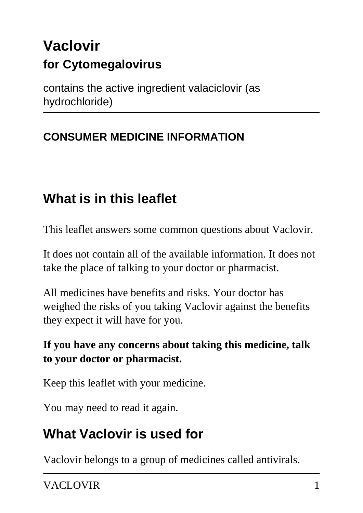# **Vaclovir for Cytomegalovirus**

contains the active ingredient valaciclovir (as hydrochloride)

## **CONSUMER MEDICINE INFORMATION**

# **What is in this leaflet**

This leaflet answers some common questions about Vaclovir.

It does not contain all of the available information. It does not take the place of talking to your doctor or pharmacist.

All medicines have benefits and risks. Your doctor has weighed the risks of you taking Vaclovir against the benefits they expect it will have for you.

### **If you have any concerns about taking this medicine, talk to your doctor or pharmacist.**

Keep this leaflet with your medicine.

You may need to read it again.

## **What Vaclovir is used for**

Vaclovir belongs to a group of medicines called antivirals.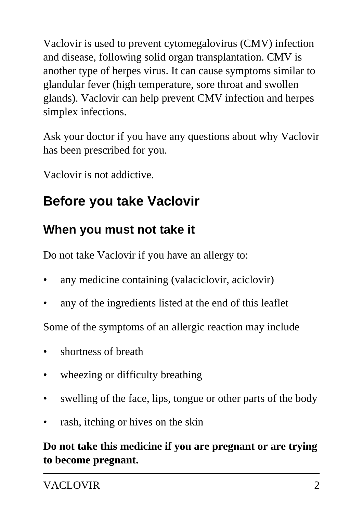Vaclovir is used to prevent cytomegalovirus (CMV) infection and disease, following solid organ transplantation. CMV is another type of herpes virus. It can cause symptoms similar to glandular fever (high temperature, sore throat and swollen glands). Vaclovir can help prevent CMV infection and herpes simplex infections.

Ask your doctor if you have any questions about why Vaclovir has been prescribed for you.

Vaclovir is not addictive.

# **Before you take Vaclovir**

### **When you must not take it**

Do not take Vaclovir if you have an allergy to:

- any medicine containing (valaciclovir, aciclovir)
- any of the ingredients listed at the end of this leaflet

Some of the symptoms of an allergic reaction may include

- shortness of breath
- wheezing or difficulty breathing
- swelling of the face, lips, tongue or other parts of the body
- rash, itching or hives on the skin

**Do not take this medicine if you are pregnant or are trying to become pregnant.**

VACLOVIR<sup>2</sup>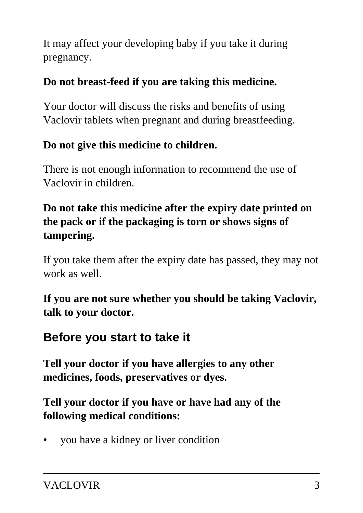It may affect your developing baby if you take it during pregnancy.

### **Do not breast-feed if you are taking this medicine.**

Your doctor will discuss the risks and benefits of using Vaclovir tablets when pregnant and during breastfeeding.

### **Do not give this medicine to children.**

There is not enough information to recommend the use of Vaclovir in children.

### **Do not take this medicine after the expiry date printed on the pack or if the packaging is torn or shows signs of tampering.**

If you take them after the expiry date has passed, they may not work as well.

**If you are not sure whether you should be taking Vaclovir, talk to your doctor.**

## **Before you start to take it**

**Tell your doctor if you have allergies to any other medicines, foods, preservatives or dyes.**

### **Tell your doctor if you have or have had any of the following medical conditions:**

• you have a kidney or liver condition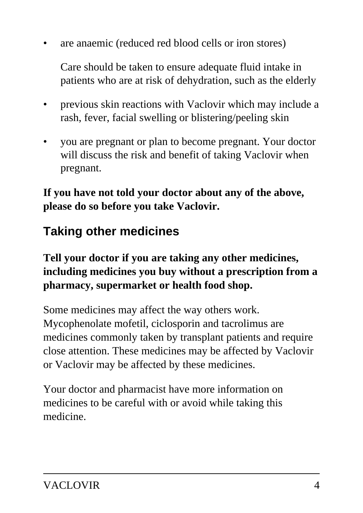are anaemic (reduced red blood cells or iron stores)

 Care should be taken to ensure adequate fluid intake in patients who are at risk of dehydration, such as the elderly

- previous skin reactions with Vaclovir which may include a rash, fever, facial swelling or blistering/peeling skin
- you are pregnant or plan to become pregnant. Your doctor will discuss the risk and benefit of taking Vaclovir when pregnant.

**If you have not told your doctor about any of the above, please do so before you take Vaclovir.**

## **Taking other medicines**

### **Tell your doctor if you are taking any other medicines, including medicines you buy without a prescription from a pharmacy, supermarket or health food shop.**

Some medicines may affect the way others work. Mycophenolate mofetil, ciclosporin and tacrolimus are medicines commonly taken by transplant patients and require close attention. These medicines may be affected by Vaclovir or Vaclovir may be affected by these medicines.

Your doctor and pharmacist have more information on medicines to be careful with or avoid while taking this medicine.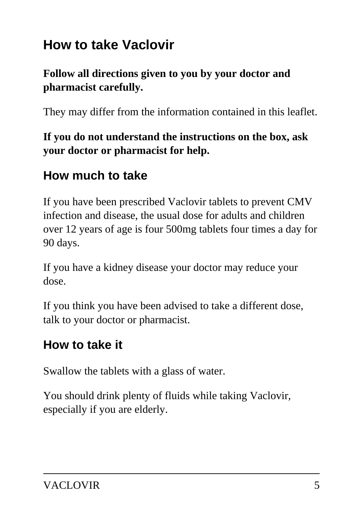# **How to take Vaclovir**

### **Follow all directions given to you by your doctor and pharmacist carefully.**

They may differ from the information contained in this leaflet.

**If you do not understand the instructions on the box, ask your doctor or pharmacist for help.**

## **How much to take**

If you have been prescribed Vaclovir tablets to prevent CMV infection and disease, the usual dose for adults and children over 12 years of age is four 500mg tablets four times a day for 90 days.

If you have a kidney disease your doctor may reduce your dose.

If you think you have been advised to take a different dose, talk to your doctor or pharmacist.

## **How to take it**

Swallow the tablets with a glass of water.

You should drink plenty of fluids while taking Vaclovir, especially if you are elderly.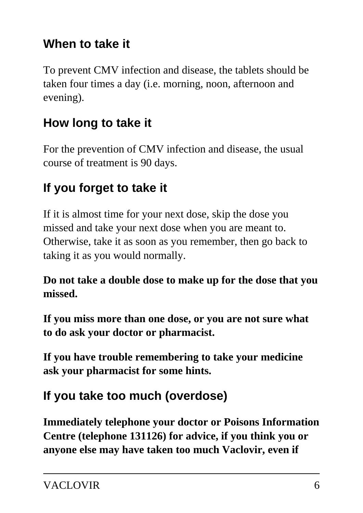## **When to take it**

To prevent CMV infection and disease, the tablets should be taken four times a day (i.e. morning, noon, afternoon and evening).

## **How long to take it**

For the prevention of CMV infection and disease, the usual course of treatment is 90 days.

## **If you forget to take it**

If it is almost time for your next dose, skip the dose you missed and take your next dose when you are meant to. Otherwise, take it as soon as you remember, then go back to taking it as you would normally.

**Do not take a double dose to make up for the dose that you missed.**

**If you miss more than one dose, or you are not sure what to do ask your doctor or pharmacist.**

**If you have trouble remembering to take your medicine ask your pharmacist for some hints.**

## **If you take too much (overdose)**

**Immediately telephone your doctor or Poisons Information Centre (telephone 131126) for advice, if you think you or anyone else may have taken too much Vaclovir, even if**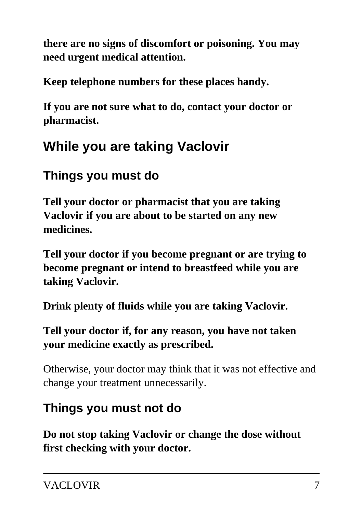**there are no signs of discomfort or poisoning. You may need urgent medical attention.**

**Keep telephone numbers for these places handy.**

**If you are not sure what to do, contact your doctor or pharmacist.**

# **While you are taking Vaclovir**

## **Things you must do**

**Tell your doctor or pharmacist that you are taking Vaclovir if you are about to be started on any new medicines.**

**Tell your doctor if you become pregnant or are trying to become pregnant or intend to breastfeed while you are taking Vaclovir.**

**Drink plenty of fluids while you are taking Vaclovir.**

**Tell your doctor if, for any reason, you have not taken your medicine exactly as prescribed.**

Otherwise, your doctor may think that it was not effective and change your treatment unnecessarily.

## **Things you must not do**

**Do not stop taking Vaclovir or change the dose without first checking with your doctor.**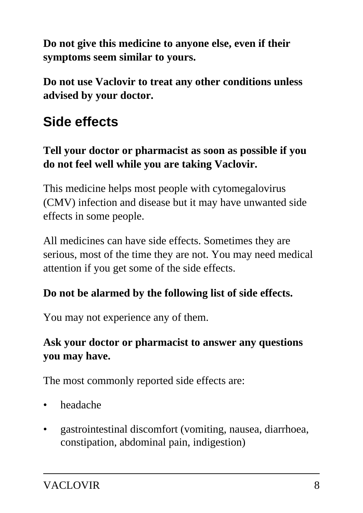**Do not give this medicine to anyone else, even if their symptoms seem similar to yours.**

**Do not use Vaclovir to treat any other conditions unless advised by your doctor.**

# **Side effects**

### **Tell your doctor or pharmacist as soon as possible if you do not feel well while you are taking Vaclovir.**

This medicine helps most people with cytomegalovirus (CMV) infection and disease but it may have unwanted side effects in some people.

All medicines can have side effects. Sometimes they are serious, most of the time they are not. You may need medical attention if you get some of the side effects.

### **Do not be alarmed by the following list of side effects.**

You may not experience any of them.

### **Ask your doctor or pharmacist to answer any questions you may have.**

The most commonly reported side effects are:

- headache
- gastrointestinal discomfort (vomiting, nausea, diarrhoea, constipation, abdominal pain, indigestion)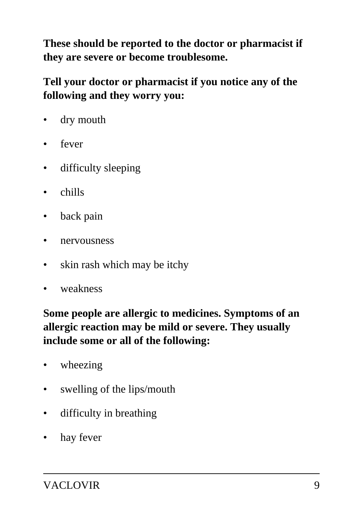**These should be reported to the doctor or pharmacist if they are severe or become troublesome.**

**Tell your doctor or pharmacist if you notice any of the following and they worry you:**

- dry mouth
- fever
- difficulty sleeping
- chills
- back pain
- nervousness
- skin rash which may be itchy
- weakness

**Some people are allergic to medicines. Symptoms of an allergic reaction may be mild or severe. They usually include some or all of the following:**

- wheezing
- swelling of the lips/mouth
- difficulty in breathing
- hay fever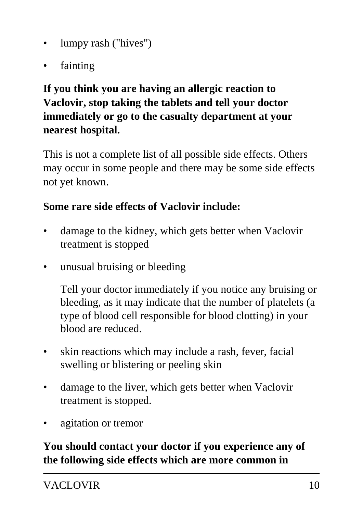- lumpy rash ("hives")
- fainting

### **If you think you are having an allergic reaction to Vaclovir, stop taking the tablets and tell your doctor immediately or go to the casualty department at your nearest hospital.**

This is not a complete list of all possible side effects. Others may occur in some people and there may be some side effects not yet known.

### **Some rare side effects of Vaclovir include:**

- damage to the kidney, which gets better when Vaclovir treatment is stopped
- unusual bruising or bleeding

 Tell your doctor immediately if you notice any bruising or bleeding, as it may indicate that the number of platelets (a type of blood cell responsible for blood clotting) in your blood are reduced.

- skin reactions which may include a rash, fever, facial swelling or blistering or peeling skin
- damage to the liver, which gets better when Vaclovir treatment is stopped.
- agitation or tremor

#### **You should contact your doctor if you experience any of the following side effects which are more common in**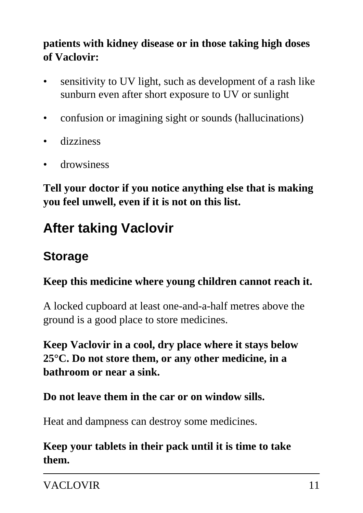### **patients with kidney disease or in those taking high doses of Vaclovir:**

- sensitivity to UV light, such as development of a rash like sunburn even after short exposure to UV or sunlight
- confusion or imagining sight or sounds (hallucinations)
- dizziness
- drowsiness

**Tell your doctor if you notice anything else that is making you feel unwell, even if it is not on this list.**

## **After taking Vaclovir**

## **Storage**

#### **Keep this medicine where young children cannot reach it.**

A locked cupboard at least one-and-a-half metres above the ground is a good place to store medicines.

**Keep Vaclovir in a cool, dry place where it stays below 25°C. Do not store them, or any other medicine, in a bathroom or near a sink.**

#### **Do not leave them in the car or on window sills.**

Heat and dampness can destroy some medicines.

### **Keep your tablets in their pack until it is time to take them.**

VACLOVIR 11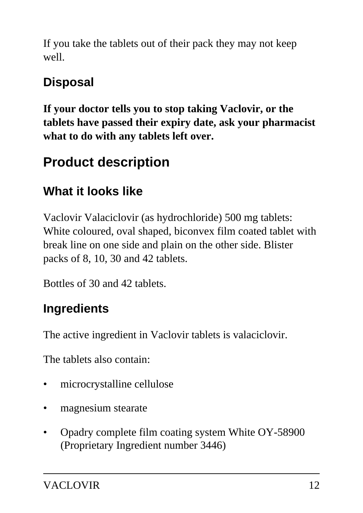If you take the tablets out of their pack they may not keep well.

## **Disposal**

**If your doctor tells you to stop taking Vaclovir, or the tablets have passed their expiry date, ask your pharmacist what to do with any tablets left over.**

# **Product description**

## **What it looks like**

Vaclovir Valaciclovir (as hydrochloride) 500 mg tablets: White coloured, oval shaped, biconvex film coated tablet with break line on one side and plain on the other side. Blister packs of 8, 10, 30 and 42 tablets.

Bottles of 30 and 42 tablets.

## **Ingredients**

The active ingredient in Vaclovir tablets is valaciclovir.

The tablets also contain:

- microcrystalline cellulose
- magnesium stearate
- Opadry complete film coating system White OY-58900 (Proprietary Ingredient number 3446)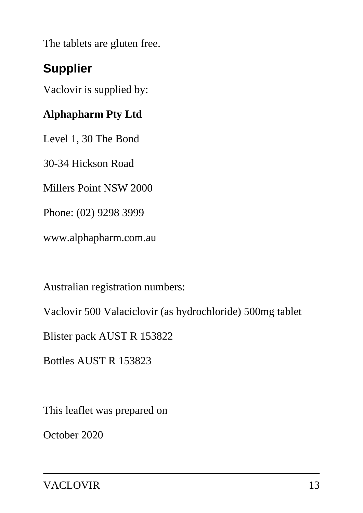The tablets are gluten free.

## **Supplier**

Vaclovir is supplied by:

### **Alphapharm Pty Ltd**

Level 1, 30 The Bond

30-34 Hickson Road

Millers Point NSW 2000

Phone: (02) 9298 3999

www.alphapharm.com.au

Australian registration numbers:

Vaclovir 500 Valaciclovir (as hydrochloride) 500mg tablet

Blister pack AUST R 153822

Bottles AUST R 153823

This leaflet was prepared on

October 2020